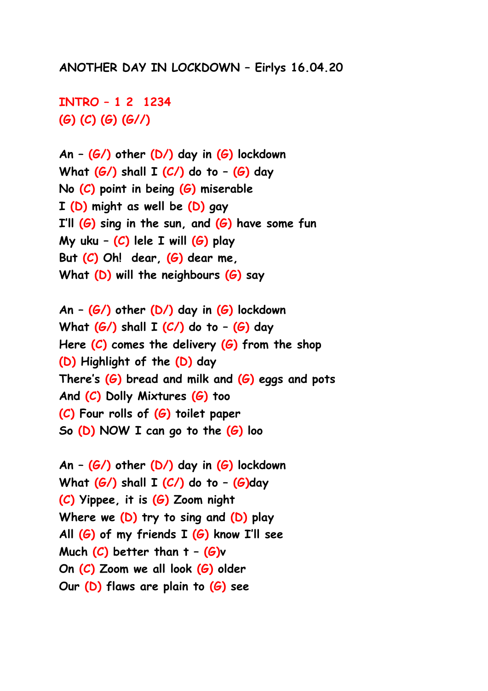## **ANOTHER DAY IN LOCKDOWN ² Eirlys 16.04.20**

**INTRO ² 1 2 1234 (G) (C) (G) (G//)**

**An ² (G/) other (D/) day in (G) lockdown What (G/) shall I (C/) do to ² (G) day No (C) point in being (G) miserable I (D) might as well be (D) gay I·ll (G) sing in the sun, and (G) have some fun My uku ² (C) lele I will (G) play But (C) Oh! dear, (G) dear me, What (D) will the neighbours (G) say**

**An ² (G/) other (D/) day in (G) lockdown What (G/) shall I (C/) do to ² (G) day Here (C) comes the delivery (G) from the shop (D) Highlight of the (D) day** There's (G) bread and milk and (G) eggs and pots **And (C) Dolly Mixtures (G) too (C) Four rolls of (G) toilet paper So (D) NOW I can go to the (G) loo**

**An ² (G/) other (D/) day in (G) lockdown What (G/) shall I (C/) do to ² (G)day (C) Yippee, it is (G) Zoom night Where we (D) try to sing and (D) play** All (G) of my friends I (G) know I'll see **Much**  $(C)$  **better than**  $t - (G)v$ **On (C) Zoom we all look (G) older Our (D) flaws are plain to (G) see**